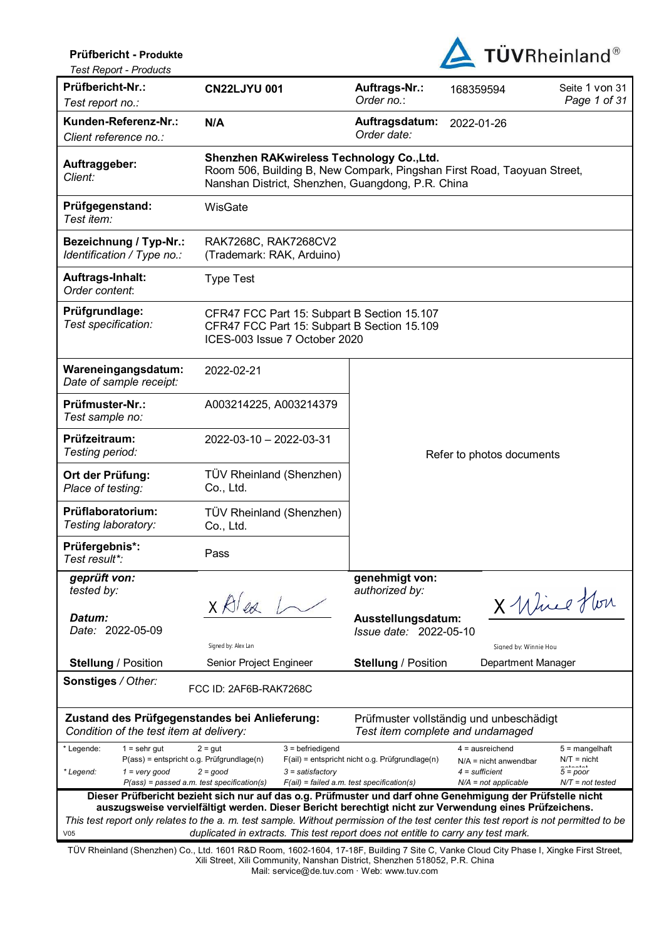#### **Prüfbericht - Produkte**

*Test Report - Products* 



| Test Report - Products                                                                   |                                                                                                                                                                                                                                                 |                                                        |                                              |                                   |  |  |
|------------------------------------------------------------------------------------------|-------------------------------------------------------------------------------------------------------------------------------------------------------------------------------------------------------------------------------------------------|--------------------------------------------------------|----------------------------------------------|-----------------------------------|--|--|
| Prüfbericht-Nr.:                                                                         | <b>CN22LJYU 001</b>                                                                                                                                                                                                                             | Auftrags-Nr.:                                          | 168359594                                    | Seite 1 von 31                    |  |  |
| Test report no.:                                                                         |                                                                                                                                                                                                                                                 | Order no.:                                             |                                              | Page 1 of 31                      |  |  |
| Kunden-Referenz-Nr.:<br>Client reference no.:                                            | N/A                                                                                                                                                                                                                                             | Auftragsdatum:<br>Order date:                          | 2022-01-26                                   |                                   |  |  |
| Auftraggeber:<br>Client:                                                                 | Shenzhen RAKwireless Technology Co., Ltd.<br>Room 506, Building B, New Compark, Pingshan First Road, Taoyuan Street,<br>Nanshan District, Shenzhen, Guangdong, P.R. China                                                                       |                                                        |                                              |                                   |  |  |
| Prüfgegenstand:<br>Test item:                                                            | WisGate                                                                                                                                                                                                                                         |                                                        |                                              |                                   |  |  |
| Bezeichnung / Typ-Nr.:<br>Identification / Type no.:                                     | RAK7268C, RAK7268CV2<br>(Trademark: RAK, Arduino)                                                                                                                                                                                               |                                                        |                                              |                                   |  |  |
| Auftrags-Inhalt:<br>Order content:                                                       | <b>Type Test</b>                                                                                                                                                                                                                                |                                                        |                                              |                                   |  |  |
| Prüfgrundlage:<br>Test specification:                                                    | CFR47 FCC Part 15: Subpart B Section 15.107<br>CFR47 FCC Part 15: Subpart B Section 15.109<br>ICES-003 Issue 7 October 2020                                                                                                                     |                                                        |                                              |                                   |  |  |
| Wareneingangsdatum:<br>Date of sample receipt:                                           | 2022-02-21                                                                                                                                                                                                                                      |                                                        |                                              |                                   |  |  |
| Prüfmuster-Nr.:<br>Test sample no:                                                       | A003214225, A003214379                                                                                                                                                                                                                          |                                                        |                                              |                                   |  |  |
| Prüfzeitraum:<br>Testing period:                                                         | 2022-03-10 - 2022-03-31                                                                                                                                                                                                                         | Refer to photos documents                              |                                              |                                   |  |  |
| Ort der Prüfung:<br>Place of testing:                                                    | TÜV Rheinland (Shenzhen)<br>Co., Ltd.                                                                                                                                                                                                           |                                                        |                                              |                                   |  |  |
| Prüflaboratorium:<br>Testing laboratory:                                                 | TÜV Rheinland (Shenzhen)<br>Co., Ltd.                                                                                                                                                                                                           |                                                        |                                              |                                   |  |  |
| Prüfergebnis*:<br>Test result*:                                                          | Pass                                                                                                                                                                                                                                            |                                                        |                                              |                                   |  |  |
| geprüft von:<br>tested by:<br>Datum:                                                     | $x$ $8$ lea                                                                                                                                                                                                                                     | genehmigt von:<br>authorized by:<br>Ausstellungsdatum: |                                              | X Wirel Hon                       |  |  |
| Date: 2022-05-09                                                                         | Signed by: Alex Lan                                                                                                                                                                                                                             | Issue date: 2022-05-10                                 |                                              |                                   |  |  |
| <b>Stellung / Position</b>                                                               | Senior Project Engineer                                                                                                                                                                                                                         | <b>Stellung / Position</b>                             | Signed by: Winnie Hou<br>Department Manager  |                                   |  |  |
| Sonstiges / Other:                                                                       | FCC ID: 2AF6B-RAK7268C                                                                                                                                                                                                                          |                                                        |                                              |                                   |  |  |
| Zustand des Prüfgegenstandes bei Anlieferung:<br>Condition of the test item at delivery: |                                                                                                                                                                                                                                                 | Test item complete and undamaged                       | Prüfmuster vollständig und unbeschädigt      |                                   |  |  |
| * Legende:<br>$1 =$ sehr gut<br>P(ass) = entspricht o.g. Prüfgrundlage(n)                | $2 = gut$<br>$3 = \text{before}$                                                                                                                                                                                                                | F(ail) = entspricht nicht o.g. Prüfgrundlage(n)        | $4 =$ ausreichend<br>$N/A$ = nicht anwendbar | $5 =$ mangelhaft<br>$N/T =$ nicht |  |  |
| *Legend:<br>$1 = \text{very good}$<br>$P(ass)$ = passed a.m. test specification(s)       | $2 = good$<br>$3 =$ satisfactory                                                                                                                                                                                                                | $F(ai)$ = failed a.m. test specification(s)            | $4 =$ sufficient<br>$N/A$ = not applicable   | $5 = poor$<br>$N/T$ = not tested  |  |  |
|                                                                                          | Dieser Prüfbericht bezieht sich nur auf das o.g. Prüfmuster und darf ohne Genehmigung der Prüfstelle nicht                                                                                                                                      |                                                        |                                              |                                   |  |  |
|                                                                                          | auszugsweise vervielfältigt werden. Dieser Bericht berechtigt nicht zur Verwendung eines Prüfzeichens.<br>This test report only relates to the a. m. test sample. Without permission of the test center this test report is not permitted to be |                                                        |                                              |                                   |  |  |
| V05                                                                                      | duplicated in extracts. This test report does not entitle to carry any test mark.                                                                                                                                                               |                                                        |                                              |                                   |  |  |
|                                                                                          |                                                                                                                                                                                                                                                 |                                                        |                                              |                                   |  |  |

TÜV Rheinland (Shenzhen) Co., Ltd. 1601 R&D Room, 1602-1604, 17-18F, Building 7 Site C, Vanke Cloud City Phase I, Xingke First Street, Xili Street, Xili Community, Nanshan District, Shenzhen 518052, P.R. China Mail: service@de.tuv.com · Web: www.tuv.com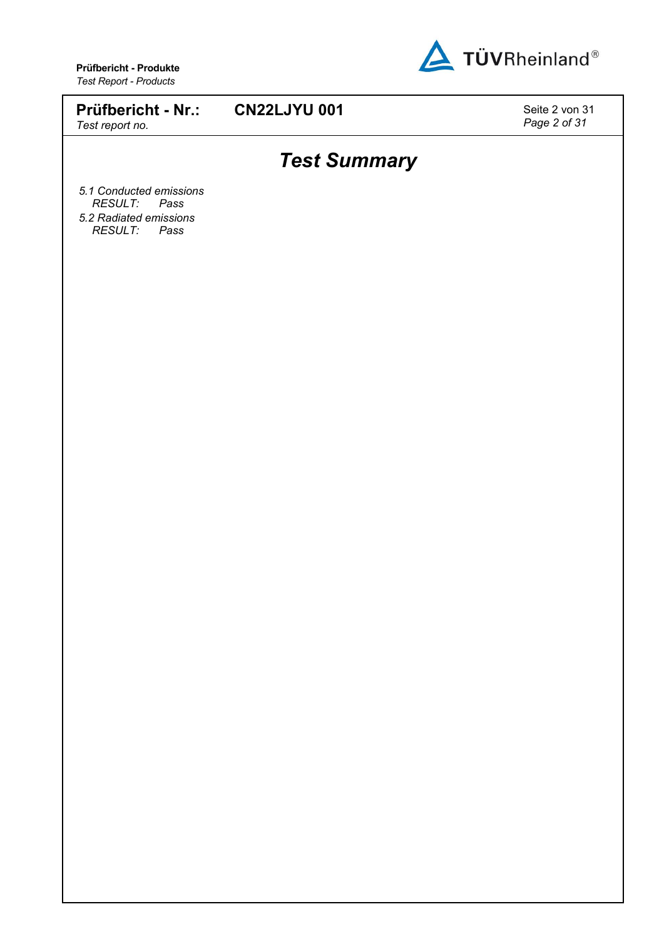

**Prüfbericht - Nr.:** *Test report no.*

**CN22LJYU 001** Seite 2 von 31

*Page 2 of 31*

### *Test Summary*

*5.1 Conducted emissions RESULT: Pass 5.2 Radiated emissions RESULT: Pass*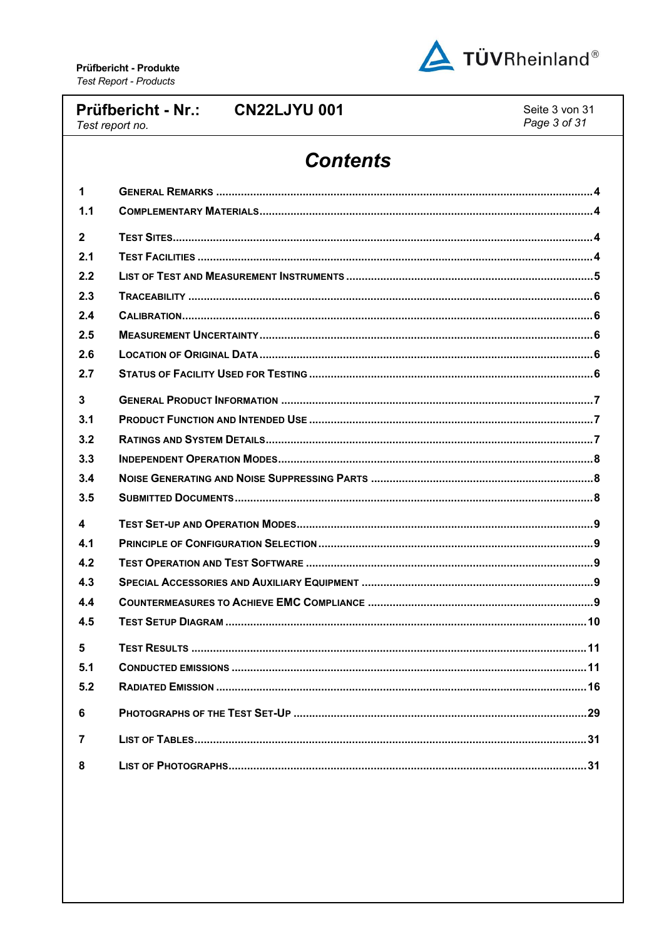

#### Prüfbericht - Nr.: Test report no.

**CN22LJYU 001** 

Seite 3 von 31 Page 3 of 31

### **Contents**

| 1               |                                |
|-----------------|--------------------------------|
| 1.1             |                                |
| $\overline{2}$  |                                |
| 2.1             |                                |
| 2.2             |                                |
| 2.3             |                                |
| 2.4             |                                |
| 2.5             |                                |
| 2.6             |                                |
| 2.7             |                                |
| $\mathbf{3}$    |                                |
| 3.1             |                                |
| 3.2             |                                |
| 3.3             |                                |
| 3.4             |                                |
| 3.5             |                                |
| 4               |                                |
| 4.1             |                                |
| 4.2             |                                |
| 4.3             |                                |
| 4.4             |                                |
| 4.5             |                                |
| 5               |                                |
| 5.1             |                                |
| 52              | <b>RADIATED EMISSION</b><br>16 |
| $6\phantom{1}6$ |                                |
| 7               |                                |
|                 |                                |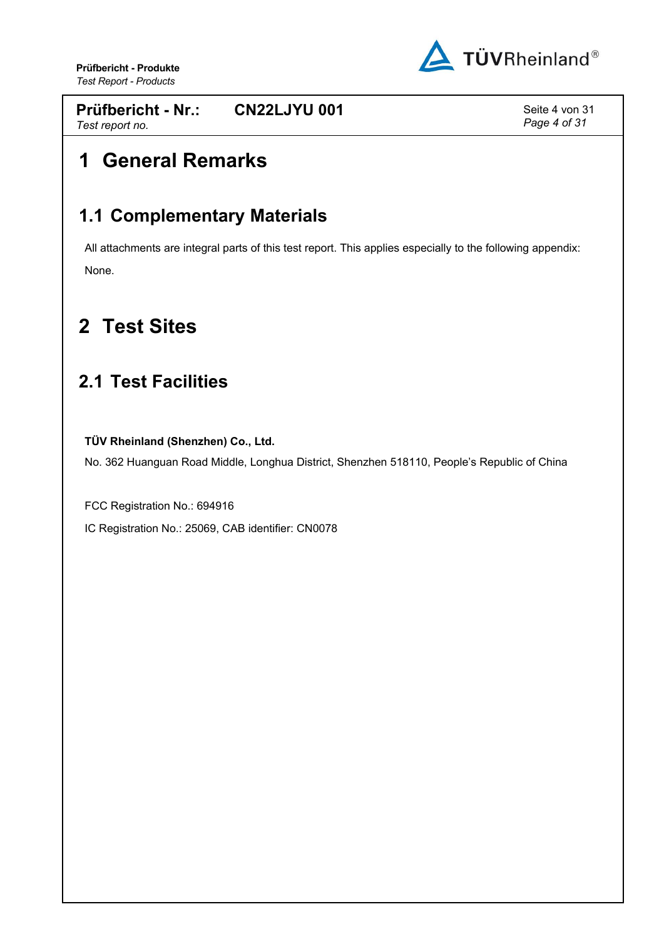

**CN22LJYU 001** Seite 4 von 31

*Page 4 of 31*

## <span id="page-3-0"></span>**1 General Remarks**

### <span id="page-3-1"></span>**1.1 Complementary Materials**

All attachments are integral parts of this test report. This applies especially to the following appendix: None.

# <span id="page-3-2"></span>**2 Test Sites**

### <span id="page-3-3"></span>**2.1 Test Facilities**

**TÜV Rheinland (Shenzhen) Co., Ltd.**

No. 362 Huanguan Road Middle, Longhua District, Shenzhen 518110, People's Republic of China

FCC Registration No.: 694916

IC Registration No.: 25069, CAB identifier: CN0078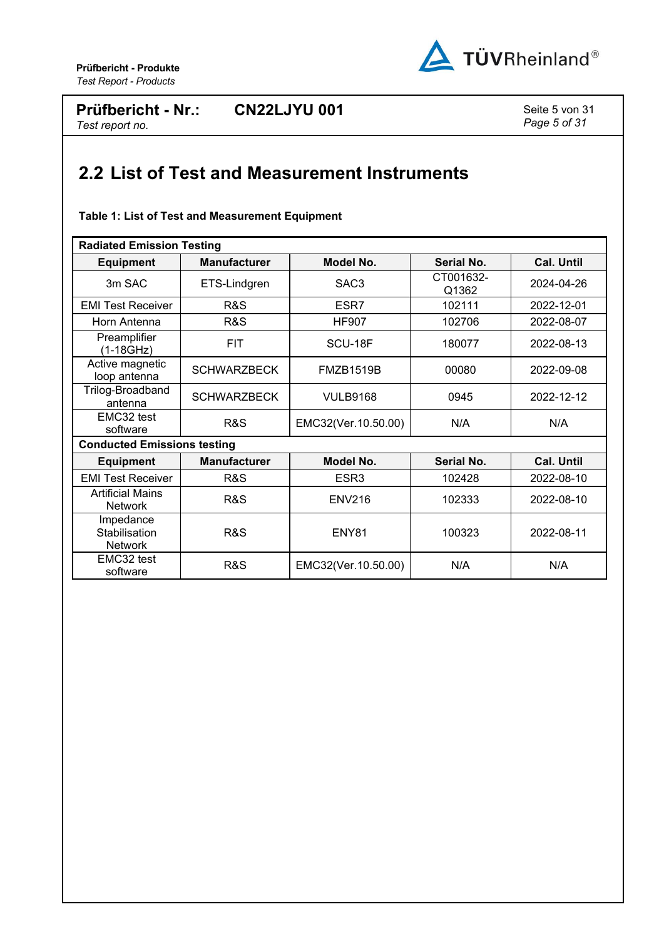

**CN22LJYU 001** Seite 5 von 31

*Page 5 of 31*

### <span id="page-4-0"></span>**2.2 List of Test and Measurement Instruments**

| <b>Radiated Emission Testing</b>             |                     |                     |                    |                   |  |  |
|----------------------------------------------|---------------------|---------------------|--------------------|-------------------|--|--|
| <b>Equipment</b>                             | <b>Manufacturer</b> | Model No.           | Serial No.         | <b>Cal. Until</b> |  |  |
| 3m SAC                                       | ETS-Lindgren        | SAC <sub>3</sub>    | CT001632-<br>Q1362 | 2024-04-26        |  |  |
| <b>EMI Test Receiver</b>                     | <b>R&amp;S</b>      | ESR7                | 102111             | 2022-12-01        |  |  |
| Horn Antenna                                 | <b>R&amp;S</b>      | <b>HF907</b>        | 102706             | 2022-08-07        |  |  |
| Preamplifier<br>(1-18GHz)                    | <b>FIT</b>          | SCU-18F             | 180077             | 2022-08-13        |  |  |
| Active magnetic<br>loop antenna              | <b>SCHWARZBECK</b>  | <b>FMZB1519B</b>    | 00080              | 2022-09-08        |  |  |
| Trilog-Broadband<br>antenna                  | <b>SCHWARZBECK</b>  | <b>VULB9168</b>     | 0945               | 2022-12-12        |  |  |
| EMC32 test<br>software                       | <b>R&amp;S</b>      | EMC32(Ver.10.50.00) | N/A                | N/A               |  |  |
| <b>Conducted Emissions testing</b>           |                     |                     |                    |                   |  |  |
| <b>Equipment</b>                             | <b>Manufacturer</b> | Model No.           | Serial No.         | <b>Cal. Until</b> |  |  |
| <b>EMI Test Receiver</b>                     | R&S                 | ESR <sub>3</sub>    | 102428             | 2022-08-10        |  |  |
| <b>Artificial Mains</b><br><b>Network</b>    | <b>R&amp;S</b>      | <b>ENV216</b>       | 102333             | 2022-08-10        |  |  |
| Impedance<br>Stabilisation<br><b>Network</b> | <b>R&amp;S</b>      | ENY81               | 100323             | 2022-08-11        |  |  |
| EMC32 test<br>software                       | R&S                 | EMC32(Ver.10.50.00) | N/A                | N/A               |  |  |

#### <span id="page-4-1"></span>**Table 1: List of Test and Measurement Equipment**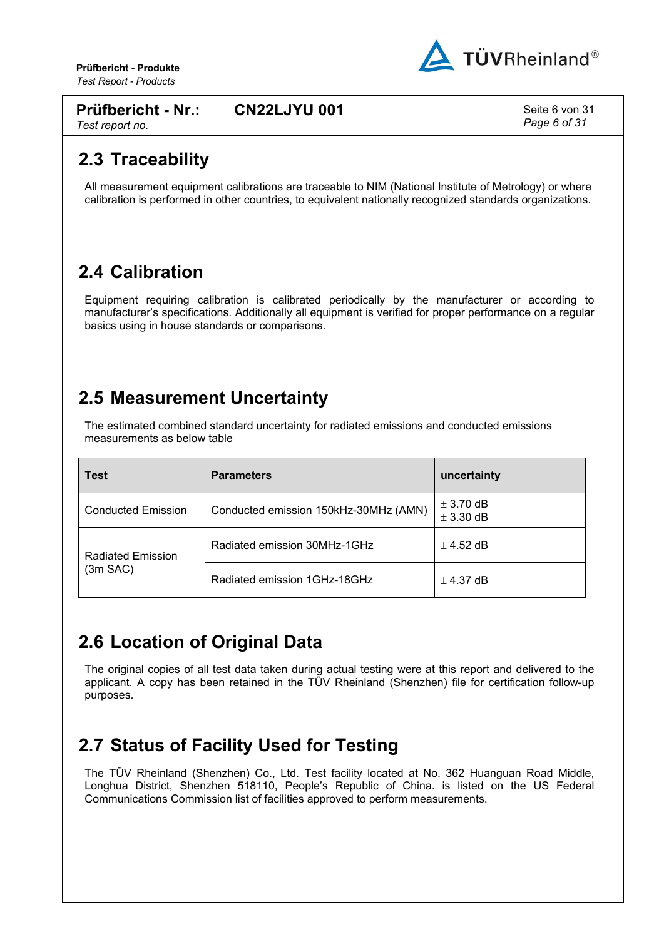

**CN22LJYU 001** Seite 6 von 31

*Page 6 of 31*

### <span id="page-5-0"></span>**2.3 Traceability**

All measurement equipment calibrations are traceable to NIM (National Institute of Metrology) or where calibration is performed in other countries, to equivalent nationally recognized standards organizations.

### <span id="page-5-1"></span>**2.4 Calibration**

Equipment requiring calibration is calibrated periodically by the manufacturer or according to manufacturer's specifications. Additionally all equipment is verified for proper performance on a regular basics using in house standards or comparisons.

#### <span id="page-5-2"></span>**2.5 Measurement Uncertainty**

The estimated combined standard uncertainty for radiated emissions and conducted emissions measurements as below table

| <b>Test</b>               | <b>Parameters</b>                     | uncertainty                    |
|---------------------------|---------------------------------------|--------------------------------|
| <b>Conducted Emission</b> | Conducted emission 150kHz-30MHz (AMN) | $\pm$ 3.70 dB<br>$\pm$ 3.30 dB |
| <b>Radiated Emission</b>  | Radiated emission 30MHz-1GHz          | $\pm$ 4.52 dB                  |
| (3m SAC)                  | Radiated emission 1GHz-18GHz          | $\pm$ 4.37 dB                  |

### <span id="page-5-3"></span>**2.6 Location of Original Data**

The original copies of all test data taken during actual testing were at this report and delivered to the applicant. A copy has been retained in the TÜV Rheinland (Shenzhen) file for certification follow-up purposes.

### <span id="page-5-4"></span>**2.7 Status of Facility Used for Testing**

The TÜV Rheinland (Shenzhen) Co., Ltd. Test facility located at No. 362 Huanguan Road Middle, Longhua District, Shenzhen 518110, People's Republic of China. is listed on the US Federal Communications Commission list of facilities approved to perform measurements.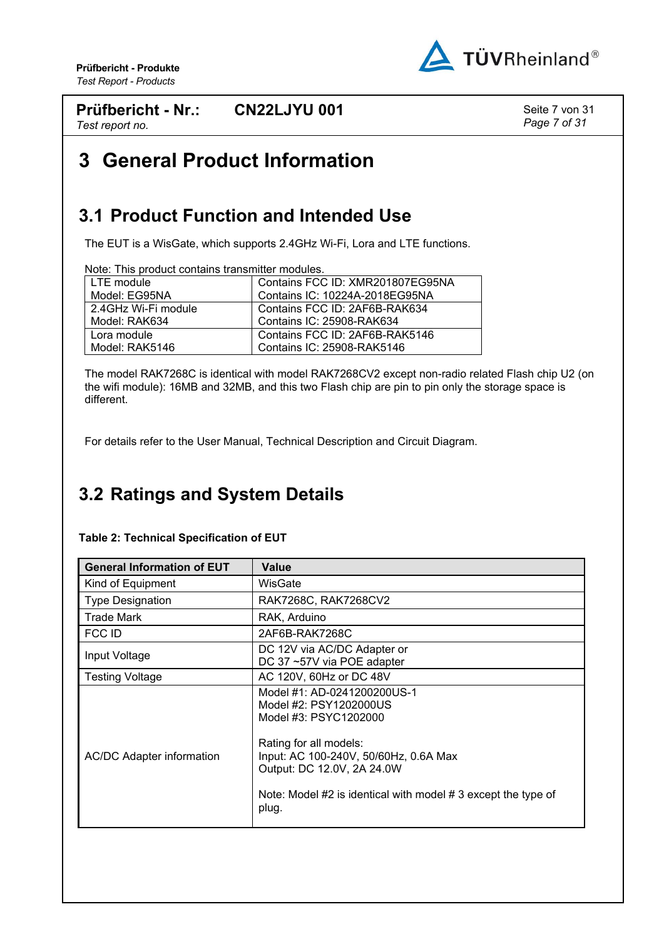

**CN22LJYU 001** Seite 7 von 31

*Page 7 of 31*

# <span id="page-6-0"></span>**3 General Product Information**

### <span id="page-6-1"></span>**3.1 Product Function and Intended Use**

The EUT is a WisGate, which supports 2.4GHz Wi-Fi, Lora and LTE functions.

Note: This product contains transmitter modules.

| $LTE$ module        | Contains FCC ID: XMR201807EG95NA |
|---------------------|----------------------------------|
| Model: EG95NA       | Contains IC: 10224A-2018EG95NA   |
| 2.4GHz Wi-Fi module | Contains FCC ID: 2AF6B-RAK634    |
| Model: RAK634       | Contains IC: 25908-RAK634        |
| Lora module         | Contains FCC ID: 2AF6B-RAK5146   |
| Model: RAK5146      | Contains IC: 25908-RAK5146       |

The model RAK7268C is identical with model RAK7268CV2 except non-radio related Flash chip U2 (on the wifi module): 16MB and 32MB, and this two Flash chip are pin to pin only the storage space is different.

<span id="page-6-2"></span>For details refer to the User Manual, Technical Description and Circuit Diagram.

### **3.2 Ratings and System Details**

| <b>General Information of EUT</b> | Value                                                                                                                                                                                                                                                        |
|-----------------------------------|--------------------------------------------------------------------------------------------------------------------------------------------------------------------------------------------------------------------------------------------------------------|
| Kind of Equipment                 | WisGate                                                                                                                                                                                                                                                      |
| <b>Type Designation</b>           | RAK7268C, RAK7268CV2                                                                                                                                                                                                                                         |
| Trade Mark                        | RAK, Arduino                                                                                                                                                                                                                                                 |
| <b>FCC ID</b>                     | 2AF6B-RAK7268C                                                                                                                                                                                                                                               |
| Input Voltage                     | DC 12V via AC/DC Adapter or<br>DC 37~57V via POE adapter                                                                                                                                                                                                     |
| <b>Testing Voltage</b>            | AC 120V, 60Hz or DC 48V                                                                                                                                                                                                                                      |
| <b>AC/DC Adapter information</b>  | Model #1: AD-0241200200US-1<br>Model #2: PSY1202000US<br>Model #3: PSYC1202000<br>Rating for all models:<br>Input: AC 100-240V, 50/60Hz, 0.6A Max<br>Output: DC 12.0V, 2A 24.0W<br>Note: Model $#2$ is identical with model $#3$ except the type of<br>plug. |

<span id="page-6-3"></span>**Table 2: Technical Specification of EUT**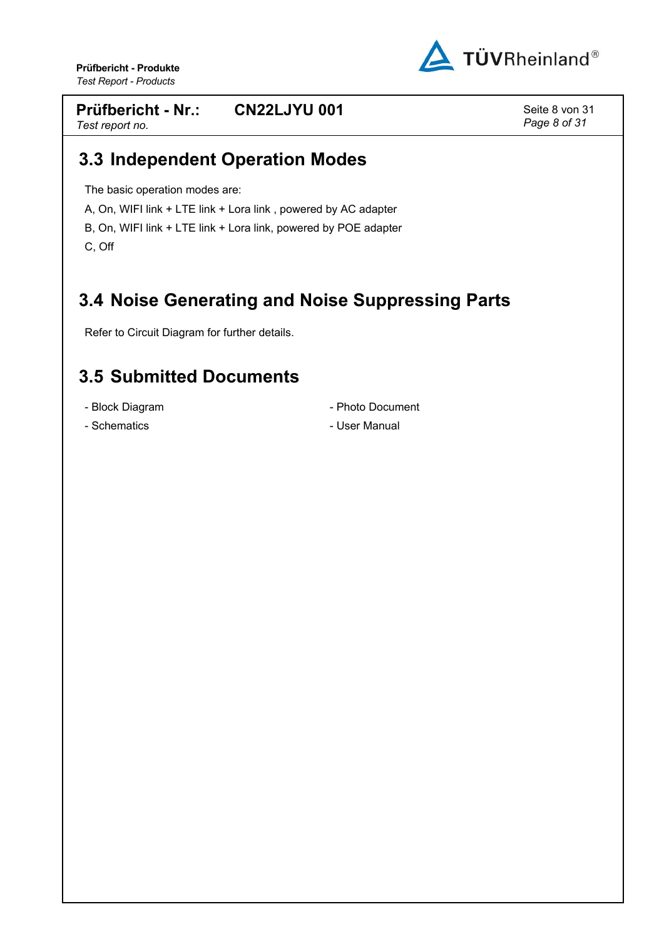

#### **Prüfbericht - Nr.:** *Test report no.* **CN22LJYU 001** Seite 8 von 31

*Page 8 of 31*

### <span id="page-7-0"></span>**3.3 Independent Operation Modes**

The basic operation modes are:

A, On, WIFI link + LTE link + Lora link , powered by AC adapter

B, On, WIFI link + LTE link + Lora link, powered by POE adapter

<span id="page-7-1"></span>C, Off

### **3.4 Noise Generating and Noise Suppressing Parts**

<span id="page-7-2"></span>Refer to Circuit Diagram for further details.

### **3.5 Submitted Documents**

- 
- Schematics  **User Manual**
- Block Diagram  $\qquad \qquad$  Photo Document
	-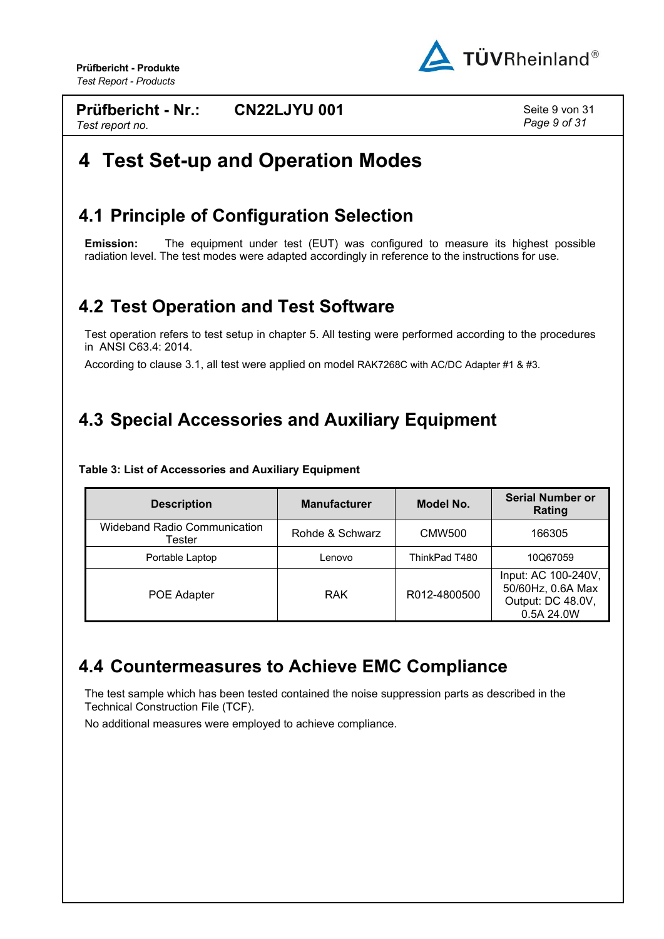

**CN22LJYU 001** Seite 9 von 31

*Page 9 of 31*

## <span id="page-8-0"></span>**4 Test Set-up and Operation Modes**

### <span id="page-8-1"></span>**4.1 Principle of Configuration Selection**

<span id="page-8-2"></span>**Emission:** The equipment under test (EUT) was configured to measure its highest possible radiation level. The test modes were adapted accordingly in reference to the instructions for use.

### **4.2 Test Operation and Test Software**

<span id="page-8-5"></span>Test operation refers to test setup in chapter 5. All testing were performed according to the procedures in ANSI C63.4: 2014.

<span id="page-8-3"></span>According to clause 3.1, all test were applied on model RAK7268C with AC/DC Adapter #1 & #3.

### **4.3 Special Accessories and Auxiliary Equipment**

| <b>Description</b>                     | <b>Manufacturer</b> | Model No.     | <b>Serial Number or</b><br>Rating                                           |
|----------------------------------------|---------------------|---------------|-----------------------------------------------------------------------------|
| Wideband Radio Communication<br>Tester | Rohde & Schwarz     | CMW500        | 166305                                                                      |
| Portable Laptop                        | Lenovo              | ThinkPad T480 | 10Q67059                                                                    |
| <b>POE Adapter</b>                     | <b>RAK</b>          | R012-4800500  | Input: AC 100-240V,<br>50/60Hz, 0.6A Max<br>Output: DC 48.0V,<br>0.5A 24.0W |

<span id="page-8-6"></span>**Table 3: List of Accessories and Auxiliary Equipment**

### <span id="page-8-4"></span>**4.4 Countermeasures to Achieve EMC Compliance**

The test sample which has been tested contained the noise suppression parts as described in the Technical Construction File (TCF).

No additional measures were employed to achieve compliance.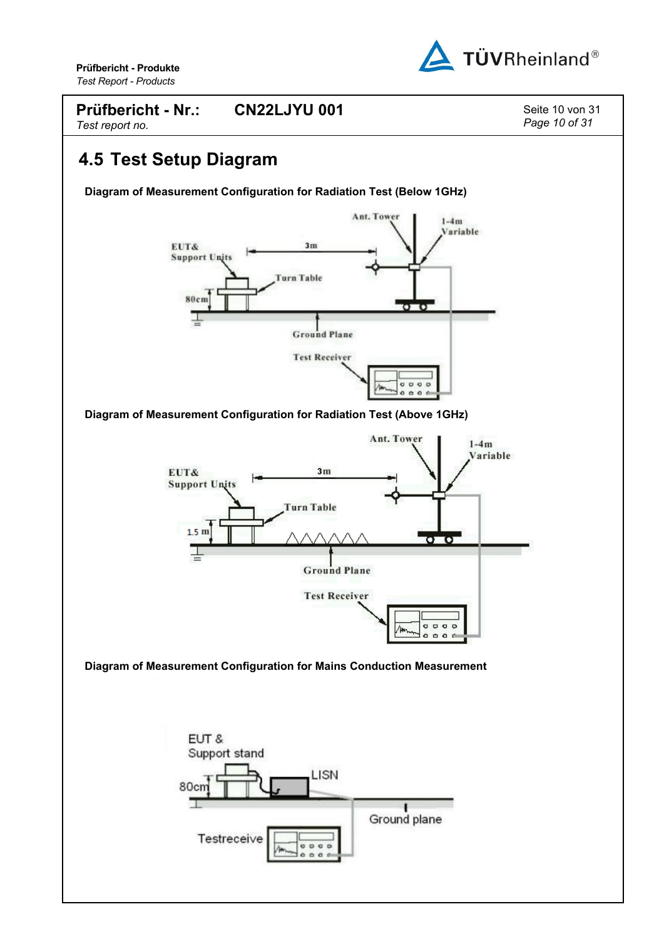**Prüfbericht - Produkte**



<span id="page-9-0"></span>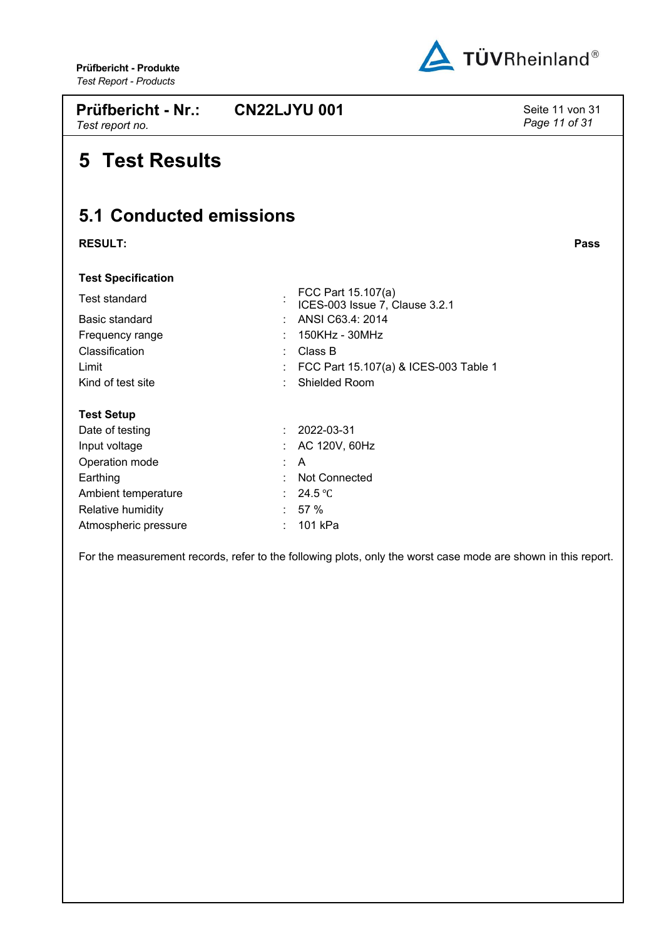

<span id="page-10-1"></span><span id="page-10-0"></span>

| <b>Prüfbericht - Nr.:</b><br>Test report no. | <b>CN22LJYU 001</b>                                  |             |  |
|----------------------------------------------|------------------------------------------------------|-------------|--|
| 5 Test Results                               |                                                      |             |  |
| <b>5.1 Conducted emissions</b>               |                                                      |             |  |
| <b>RESULT:</b>                               |                                                      | <b>Pass</b> |  |
| <b>Test Specification</b>                    |                                                      |             |  |
| <b>Test standard</b>                         | FCC Part 15.107(a)<br>ICES-003 Issue 7, Clause 3.2.1 |             |  |
| Basic standard                               | ANSI C63.4: 2014                                     |             |  |
| Frequency range                              | 150KHz - 30MHz                                       |             |  |
| Classification                               | Class B                                              |             |  |
| Limit                                        | FCC Part 15.107(a) & ICES-003 Table 1                |             |  |
| Kind of test site                            | <b>Shielded Room</b>                                 |             |  |
| <b>Test Setup</b>                            |                                                      |             |  |
| Date of testing                              | 2022-03-31                                           |             |  |
| Input voltage                                | AC 120V, 60Hz                                        |             |  |
| Operation mode                               | A                                                    |             |  |
| Earthing                                     | <b>Not Connected</b>                                 |             |  |
| Ambient temperature                          | 24.5 °C                                              |             |  |
| Relative humidity                            | 57 %                                                 |             |  |
| Atmospheric pressure                         | 101 kPa                                              |             |  |

For the measurement records, refer to the following plots, only the worst case mode are shown in this report.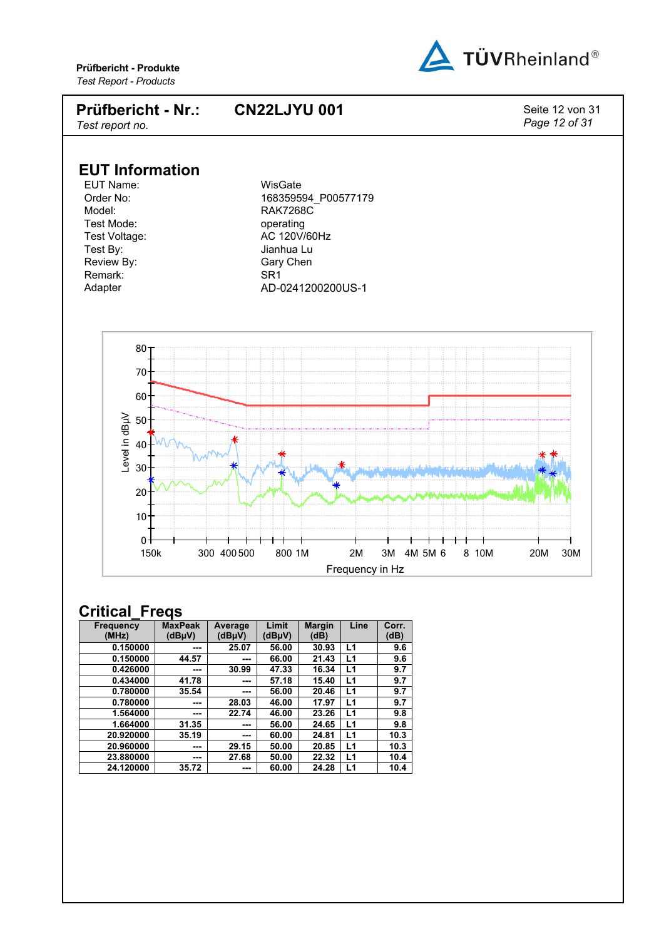



| <b>Frequency</b> | <b>MaxPeak</b> | Average | Limit  | <b>Margin</b> | Line | Corr. |
|------------------|----------------|---------|--------|---------------|------|-------|
| (MHz)            | (dBµV)         | (dBµV)  | (dBµV) | (dB)          |      | (dB)  |
| 0.150000         | ---            | 25.07   | 56.00  | 30.93         | L1   | 9.6   |
| 0.150000         | 44.57          | ---     | 66.00  | 21.43         | L1   | 9.6   |
| 0.426000         | ---            | 30.99   | 47.33  | 16.34         | L1   | 9.7   |
| 0.434000         | 41.78          | ---     | 57.18  | 15.40         | L1   | 9.7   |
| 0.780000         | 35.54          | ---     | 56.00  | 20.46         | L1   | 9.7   |
| 0.780000         | ---            | 28.03   | 46.00  | 17.97         | L1   | 9.7   |
| 1.564000         | ---            | 22.74   | 46.00  | 23.26         | L1   | 9.8   |
| 1.664000         | 31.35          | ---     | 56.00  | 24.65         | L1   | 9.8   |
| 20.920000        | 35.19          | ---     | 60.00  | 24.81         | L1   | 10.3  |
| 20.960000        | ---            | 29.15   | 50.00  | 20.85         | L1   | 10.3  |
| 23.880000        | ---            | 27.68   | 50.00  | 22.32         | L1   | 10.4  |
| 24.120000        | 35.72          | ---     | 60.00  | 24.28         | L1   | 10.4  |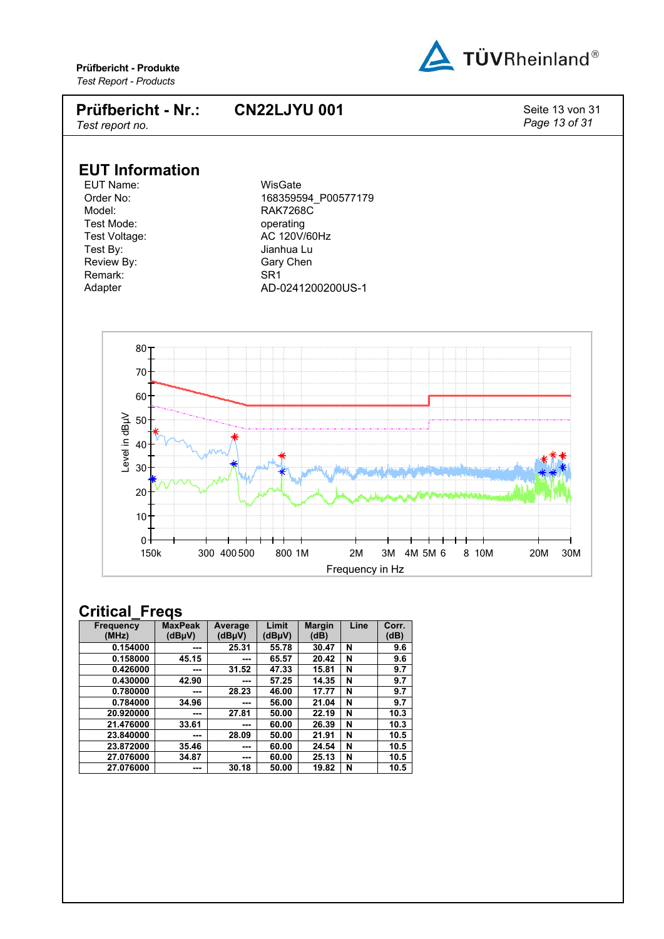



| <b>Frequency</b> | <b>MaxPeak</b> | Average             | Limit  | <b>Margin</b> | Line | Corr. |
|------------------|----------------|---------------------|--------|---------------|------|-------|
| (MHz)            | (dBµV)         | (dB <sub>µ</sub> V) | (dBµV) | (dB)          |      | (dB)  |
| 0.154000         | ---            | 25.31               | 55.78  | 30.47         | N    | 9.6   |
| 0.158000         | 45.15          | ---                 | 65.57  | 20.42         | N    | 9.6   |
| 0.426000         | ---            | 31.52               | 47.33  | 15.81         | N    | 9.7   |
| 0.430000         | 42.90          | ---                 | 57.25  | 14.35         | N    | 9.7   |
| 0.780000         | ---            | 28.23               | 46.00  | 17.77         | N    | 9.7   |
| 0.784000         | 34.96          | ---                 | 56.00  | 21.04         | N    | 9.7   |
| 20.920000        | ---            | 27.81               | 50.00  | 22.19         | N    | 10.3  |
| 21.476000        | 33.61          | ---                 | 60.00  | 26.39         | N    | 10.3  |
| 23.840000        | ---            | 28.09               | 50.00  | 21.91         | N    | 10.5  |
| 23.872000        | 35.46          | ---                 | 60.00  | 24.54         | N    | 10.5  |
| 27.076000        | 34.87          | ---                 | 60.00  | 25.13         | N    | 10.5  |
| 27.076000        | ---            | 30.18               | 50.00  | 19.82         | N    | 10.5  |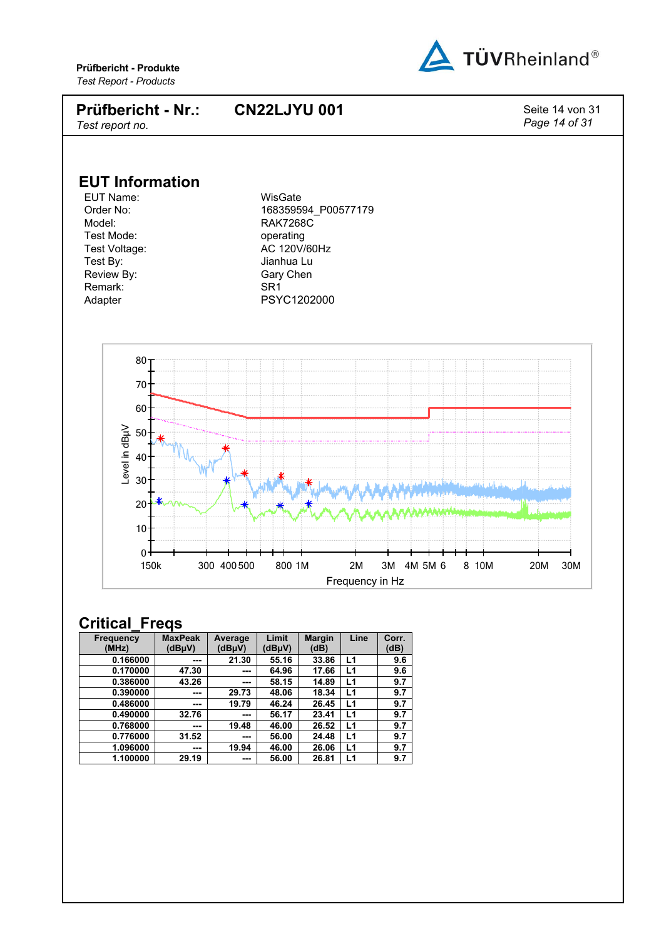



| <b>Frequency</b> | <b>MaxPeak</b> | Average | Limit  | <b>Margin</b> | Line           | Corr. |
|------------------|----------------|---------|--------|---------------|----------------|-------|
| (MHz)            | (dBµV)         | (dBµV)  | (dBµV) | (dB)          |                | (dB)  |
| 0.166000         | ---            | 21.30   | 55.16  | 33.86         | L1             | 9.6   |
| 0.170000         | 47.30          | ---     | 64.96  | 17.66         | L1             | 9.6   |
| 0.386000         | 43.26          | ---     | 58.15  | 14.89         | L1             | 9.7   |
| 0.390000         | ---            | 29.73   | 48.06  | 18.34         | L <sub>1</sub> | 9.7   |
| 0.486000         | ---            | 19.79   | 46.24  | 26.45         | L <sub>1</sub> | 9.7   |
| 0.490000         | 32.76          | ---     | 56.17  | 23.41         | L <sub>1</sub> | 9.7   |
| 0.768000         | ---            | 19.48   | 46.00  | 26.52         | L <sub>1</sub> | 9.7   |
| 0.776000         | 31.52          | ---     | 56.00  | 24.48         | L <sub>1</sub> | 9.7   |
| 1.096000         | ---            | 19.94   | 46.00  | 26.06         | L1             | 9.7   |
| 1.100000         | 29.19          | ---     | 56.00  | 26.81         | L1             | 9.7   |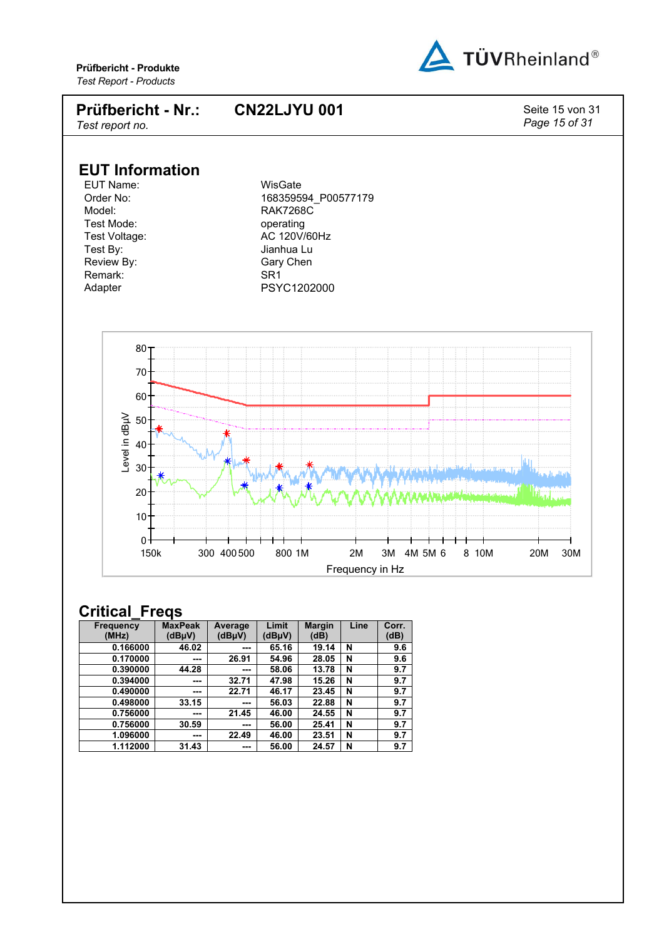



| <b>Frequency</b><br>(MHz) | <b>MaxPeak</b><br>(dBµV) | Average<br>(dBµV) | Limit<br>(dBµV) | <b>Margin</b><br>(dB) | Line | Corr.<br>(dB) |
|---------------------------|--------------------------|-------------------|-----------------|-----------------------|------|---------------|
| 0.166000                  | 46.02                    | ---               | 65.16           | 19.14                 | N    | 9.6           |
| 0.170000                  | ---                      | 26.91             | 54.96           | 28.05                 | N    | 9.6           |
| 0.390000                  | 44.28                    | ---               | 58.06           | 13.78                 | N    | 9.7           |
| 0.394000                  | $- - -$                  | 32.71             | 47.98           | 15.26                 | N    | 9.7           |
| 0.490000                  | ---                      | 22.71             | 46.17           | 23.45                 | N    | 9.7           |
| 0.498000                  | 33.15                    | ---               | 56.03           | 22.88                 | N    | 9.7           |
| 0.756000                  | ---                      | 21.45             | 46.00           | 24.55                 | N    | 9.7           |
| 0.756000                  | 30.59                    | ---               | 56.00           | 25.41                 | N    | 9.7           |
| 1.096000                  | ---                      | 22.49             | 46.00           | 23.51                 | N    | 9.7           |
| 1.112000                  | 31.43                    | ---               | 56.00           | 24.57                 | N    | 9.7           |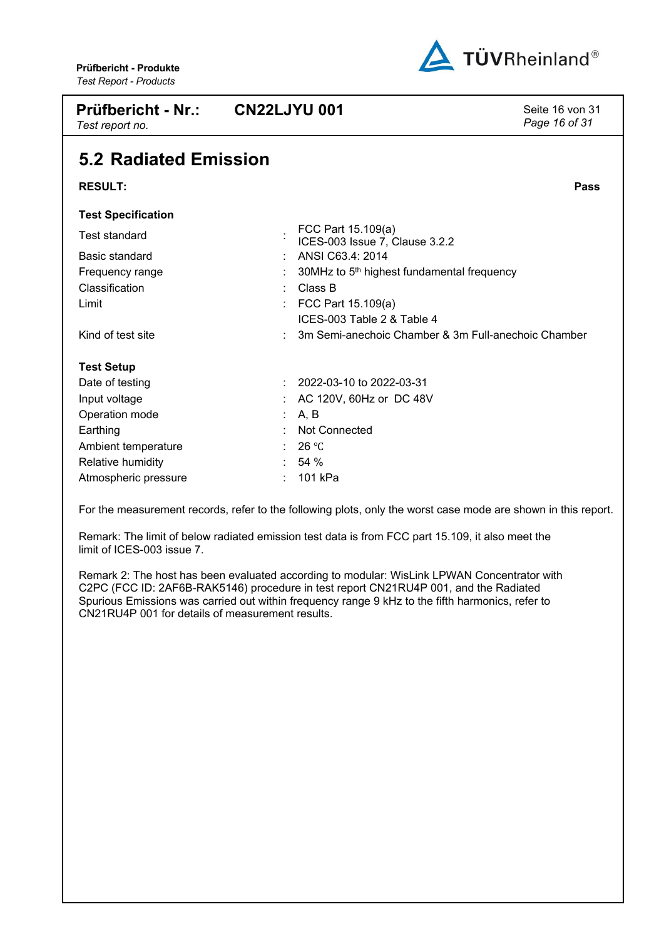

<span id="page-15-0"></span>

| <b>Prüfbericht - Nr.:</b><br>Test report no. | <b>CN22LJYU 001</b>                                    | Seite 16 von 31<br>Page 16 of 31 |
|----------------------------------------------|--------------------------------------------------------|----------------------------------|
| <b>5.2 Radiated Emission</b>                 |                                                        |                                  |
| <b>RESULT:</b>                               |                                                        | Pass                             |
| <b>Test Specification</b>                    |                                                        |                                  |
| Test standard                                | FCC Part 15.109(a)<br>ICES-003 Issue 7, Clause 3.2.2   |                                  |
| Basic standard                               | ANSI C63.4: 2014                                       |                                  |
| Frequency range                              | 30MHz to 5 <sup>th</sup> highest fundamental frequency |                                  |
| Classification                               | Class B                                                |                                  |
| Limit                                        | FCC Part 15.109(a)                                     |                                  |
|                                              | ICES-003 Table 2 & Table 4                             |                                  |
| Kind of test site                            | 3m Semi-anechoic Chamber & 3m Full-anechoic Chamber    |                                  |
| <b>Test Setup</b>                            |                                                        |                                  |
| Date of testing                              | 2022-03-10 to 2022-03-31                               |                                  |
| Input voltage                                | AC 120V, 60Hz or DC 48V                                |                                  |
| Operation mode                               | A, B                                                   |                                  |
| Earthing                                     | <b>Not Connected</b>                                   |                                  |
| Ambient temperature                          | 26 °C                                                  |                                  |
| Relative humidity                            | 54 %                                                   |                                  |

For the measurement records, refer to the following plots, only the worst case mode are shown in this report.

Remark: The limit of below radiated emission test data is from FCC part 15.109, it also meet the limit of ICES-003 issue 7.

Atmospheric pressure : 101 kPa

Remark 2: The host has been evaluated according to modular: WisLink LPWAN Concentrator with C2PC (FCC ID: 2AF6B-RAK5146) procedure in test report CN21RU4P 001, and the Radiated Spurious Emissions was carried out within frequency range 9 kHz to the fifth harmonics, refer to CN21RU4P 001 for details of measurement results.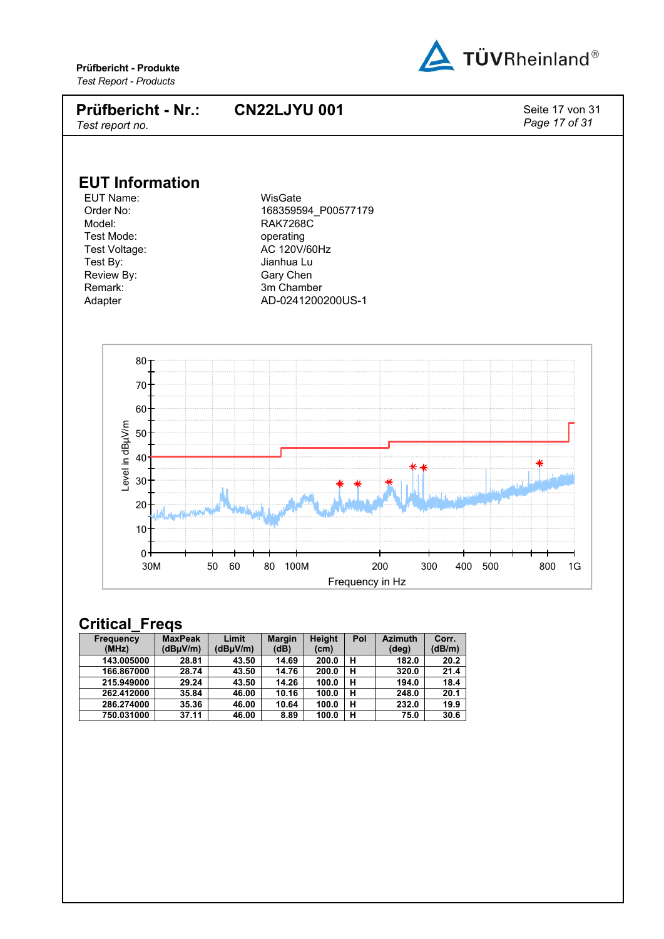



| <b>Frequency</b><br>(MHz) | <b>MaxPeak</b><br>(dBµV/m) | Limit<br>(dBuV/m) | <b>Margin</b><br>(dB) | Height<br>(c <sub>m</sub> ) | Pol | <b>Azimuth</b><br>$(\text{deg})$ | Corr.<br>(dB/m) |
|---------------------------|----------------------------|-------------------|-----------------------|-----------------------------|-----|----------------------------------|-----------------|
| 143.005000                | 28.81                      | 43.50             | 14.69                 | 200.0                       | н   | 182.0                            | 20.2            |
| 166.867000                | 28.74                      | 43.50             | 14.76                 | 200.0                       | н   | 320.0                            | 21.4            |
| 215.949000                | 29.24                      | 43.50             | 14.26                 | 100.0                       | н   | 194.0                            | 18.4            |
| 262.412000                | 35.84                      | 46.00             | 10.16                 | 100.0                       | н   | 248.0                            | 20.1            |
| 286.274000                | 35.36                      | 46.00             | 10.64                 | 100.0                       | н   | 232.0                            | 19.9            |
| 750.031000                | 37.11                      | 46.00             | 8.89                  | 100.0                       | н   | 75.0                             | 30.6            |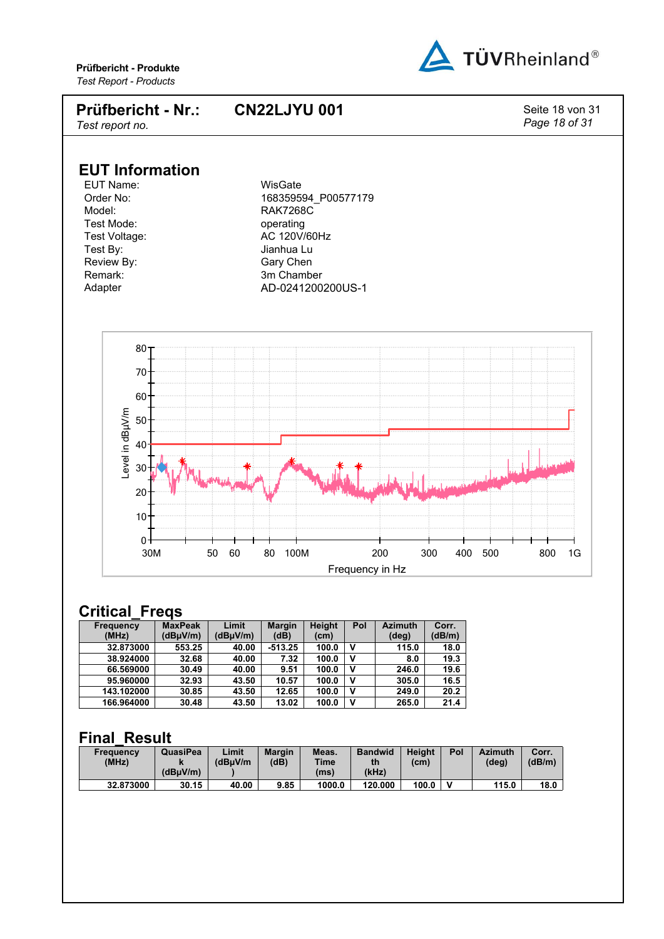



#### **Critical\_Freqs**

| <b>Frequency</b> | <b>MaxPeak</b> | Limit                 | <b>Margin</b> | Height            | Pol | <b>Azimuth</b> | Corr.  |
|------------------|----------------|-----------------------|---------------|-------------------|-----|----------------|--------|
| (MHz)            | (dBµV/m)       | (dB <sub>µ</sub> V/m) | (dB)          | (c <sub>m</sub> ) |     | $(\text{deg})$ | (dB/m) |
| 32.873000        | 553.25         | 40.00                 | -513.25       | 100.0             | v   | 115.0          | 18.0   |
| 38.924000        | 32.68          | 40.00                 | 7.32          | 100.0             | v   | 8.0            | 19.3   |
| 66.569000        | 30.49          | 40.00                 | 9.51          | 100.0             | v   | 246.0          | 19.6   |
| 95.960000        | 32.93          | 43.50                 | 10.57         | 100.0             | v   | 305.0          | 16.5   |
| 143.102000       | 30.85          | 43.50                 | 12.65         | 100.0             | v   | 249.0          | 20.2   |
| 166.964000       | 30.48          | 43.50                 | 13.02         | 100.0             | v   | 265.0          | 21.4   |

#### **Final\_Result**

| Frequency<br>(MHz) | <b>QuasiPea</b><br>(dBuV/m) | Limit<br>(dBuV/m) | <b>Margin</b><br>(dB) | Meas.<br><b>Time</b><br>(ms) | <b>Bandwid</b><br>th<br>(kHz) | <b>Height</b><br>(cm) | Pol | <b>Azimuth</b><br>(deg) | Corr.<br>(dB/m) |
|--------------------|-----------------------------|-------------------|-----------------------|------------------------------|-------------------------------|-----------------------|-----|-------------------------|-----------------|
| 32.873000          | 30.15                       | 40.00             | 9.85                  | 1000.0                       | 120,000                       | 100.0                 |     | 115.0                   | 18.0            |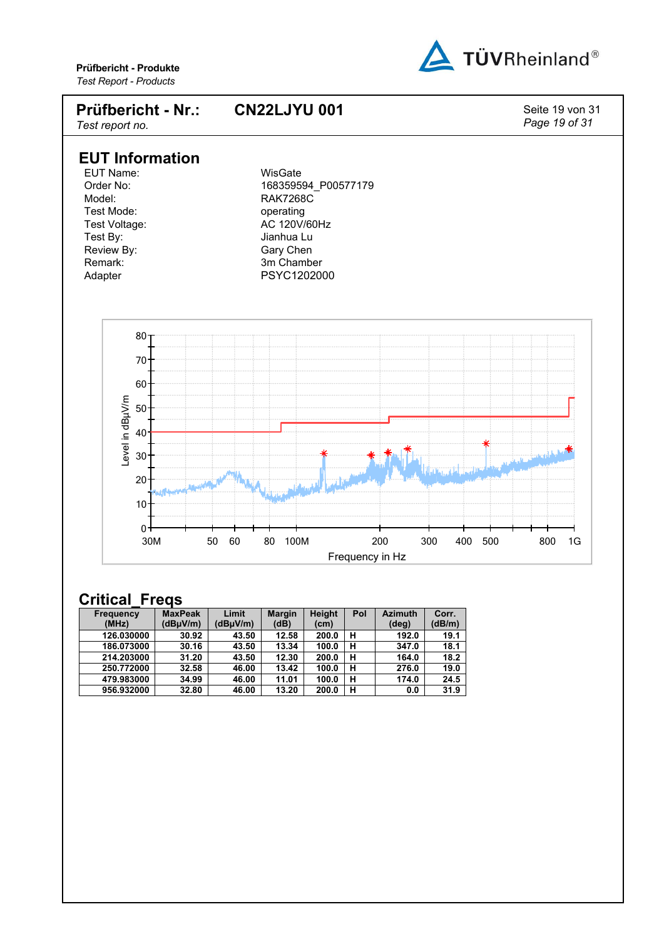



| <b>Frequency</b> | <b>MaxPeak</b> | Limit                 | <b>Margin</b> | Height            | Pol | <b>Azimuth</b> | Corr.  |
|------------------|----------------|-----------------------|---------------|-------------------|-----|----------------|--------|
| (MHz)            | (dBµV/m)       | (dB <sub>µ</sub> V/m) | (dB)          | (c <sub>m</sub> ) |     | $(\text{deg})$ | (dB/m) |
| 126.030000       | 30.92          | 43.50                 | 12.58         | 200.0             | н   | 192.0          | 19.1   |
| 186.073000       | 30.16          | 43.50                 | 13.34         | 100.0             | н   | 347.0          | 18.1   |
| 214.203000       | 31.20          | 43.50                 | 12.30         | 200.0             | н   | 164.0          | 18.2   |
| 250.772000       | 32.58          | 46.00                 | 13.42         | 100.0             | н   | 276.0          | 19.0   |
| 479.983000       | 34.99          | 46.00                 | 11.01         | 100.0             | н   | 174.0          | 24.5   |
| 956.932000       | 32.80          | 46.00                 | 13.20         | 200.0             | н   | 0.0            | 31.9   |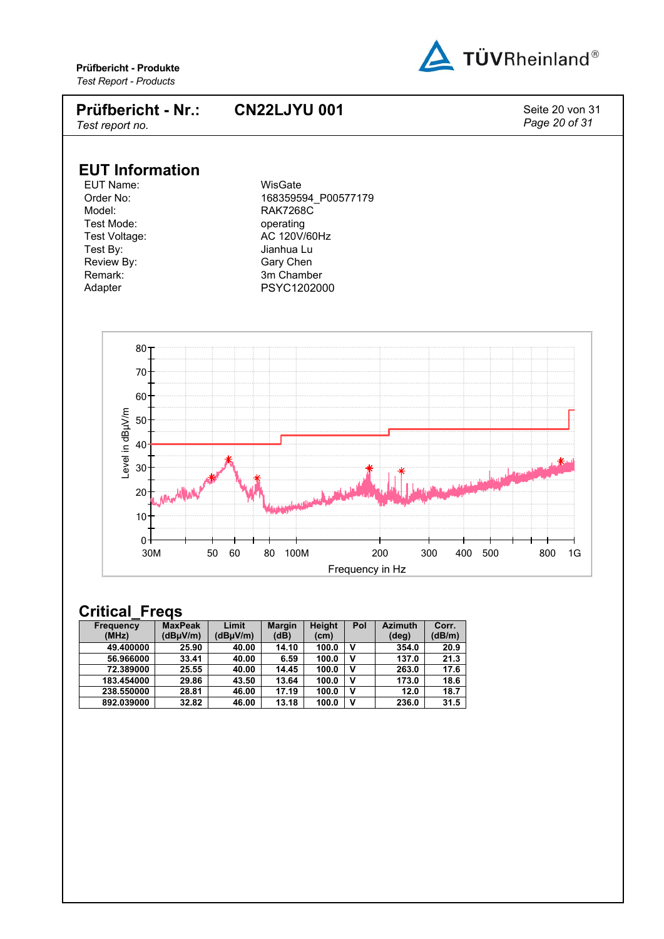



| <b>Frequency</b> | <b>MaxPeak</b> | Limit    | <b>Margin</b> | Height | Pol | <b>Azimuth</b> | Corr.  |
|------------------|----------------|----------|---------------|--------|-----|----------------|--------|
| (MHz)            | (dBuV/m)       | (dBuV/m) | (dB)          | (cm)   |     | $(\text{deg})$ | (dB/m) |
| 49.400000        | 25.90          | 40.00    | 14.10         | 100.0  | v   | 354.0          | 20.9   |
| 56.966000        | 33.41          | 40.00    | 6.59          | 100.0  | v   | 137.0          | 21.3   |
| 72.389000        | 25.55          | 40.00    | 14.45         | 100.0  | v   | 263.0          | 17.6   |
| 183.454000       | 29.86          | 43.50    | 13.64         | 100.0  | v   | 173.0          | 18.6   |
| 238.550000       | 28.81          | 46.00    | 17.19         | 100.0  | v   | 12.0           | 18.7   |
| 892.039000       | 32.82          | 46.00    | 13.18         | 100.0  | v   | 236.0          | 31.5   |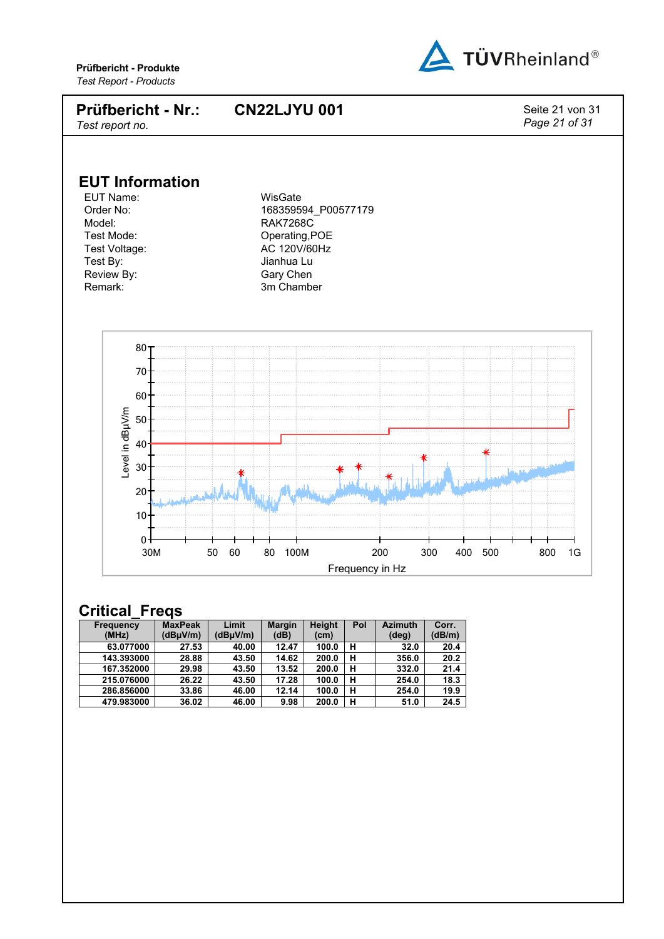



| <b>Frequency</b><br>(MHz) | <b>MaxPeak</b><br>(dBuV/m) | Limit<br>(dBuV/m) | <b>Margin</b><br>(dB) | Height<br>(cm) | Pol | <b>Azimuth</b><br>$(\text{deg})$ | Corr.<br>(dB/m) |
|---------------------------|----------------------------|-------------------|-----------------------|----------------|-----|----------------------------------|-----------------|
| 63.077000                 | 27.53                      | 40.00             | 12.47                 | 100.0          | н   | 32.0                             | 20.4            |
| 143.393000                | 28.88                      | 43.50             | 14.62                 | 200.0          | н   | 356.0                            | 20.2            |
| 167.352000                | 29.98                      | 43.50             | 13.52                 | 200.0          | н   | 332.0                            | 21.4            |
| 215.076000                | 26.22                      | 43.50             | 17.28                 | 100.0          | н   | 254.0                            | 18.3            |
| 286.856000                | 33.86                      | 46.00             | 12.14                 | 100.0          | н   | 254.0                            | 19.9            |
| 479.983000                | 36.02                      | 46.00             | 9.98                  | 200.0          | н   | 51.0                             | 24.5            |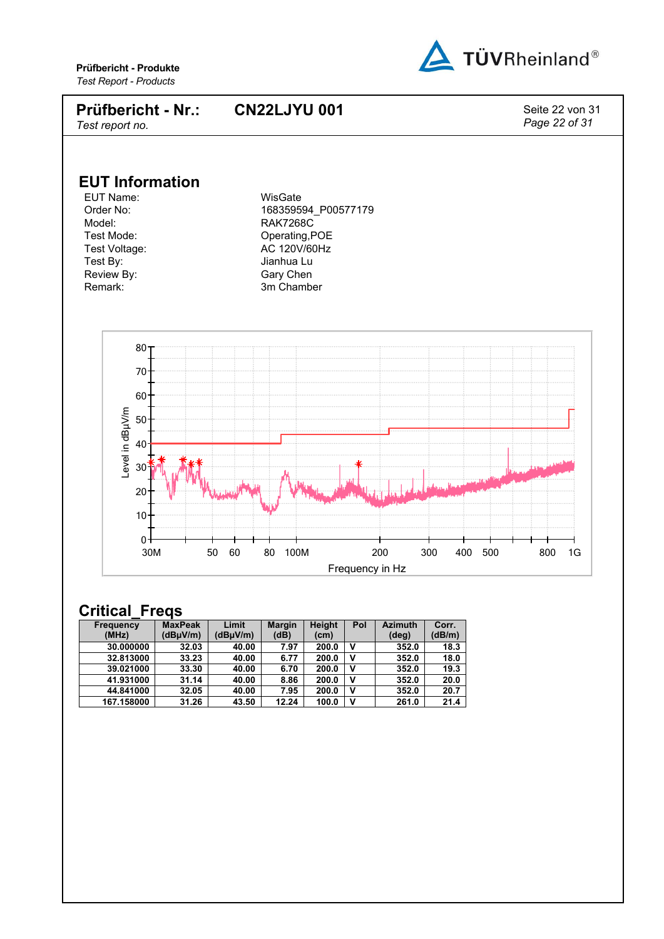



| <b>Frequency</b><br>(MHz) | <b>MaxPeak</b><br>(dBuV/m) | Limit<br>(dBuV/m) | <b>Margin</b><br>(dB) | Height<br>(c <sub>m</sub> ) | Pol | <b>Azimuth</b><br>(deg) | Corr.<br>(dB/m) |
|---------------------------|----------------------------|-------------------|-----------------------|-----------------------------|-----|-------------------------|-----------------|
| 30.000000                 | 32.03                      | 40.00             | 7.97                  | 200.0                       | ν   | 352.0                   | 18.3            |
| 32.813000                 | 33.23                      | 40.00             | 6.77                  | 200.0                       | ν   | 352.0                   | 18.0            |
| 39.021000                 | 33.30                      | 40.00             | 6.70                  | 200.0                       | ν   | 352.0                   | 19.3            |
| 41.931000                 | 31.14                      | 40.00             | 8.86                  | 200.0                       | ν   | 352.0                   | 20.0            |
| 44.841000                 | 32.05                      | 40.00             | 7.95                  | 200.0                       | v   | 352.0                   | 20.7            |
| 167.158000                | 31.26                      | 43.50             | 12.24                 | 100.0                       | v   | 261.0                   | 21.4            |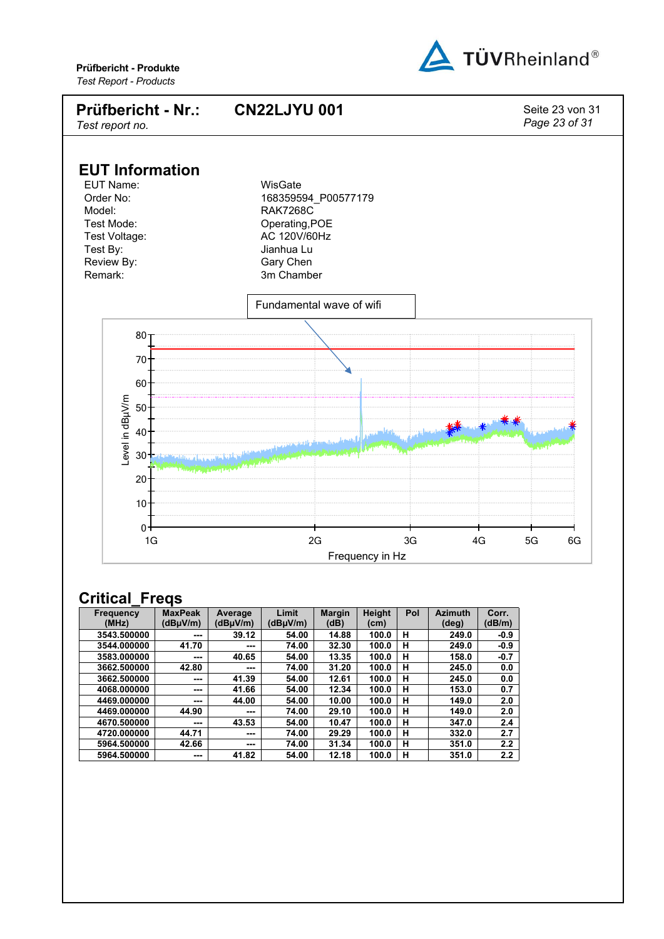



| <b>Frequency</b> | <b>MaxPeak</b> | Average  | Limit    | <b>Margin</b> | Height | Pol | <b>Azimuth</b> | Corr.  |
|------------------|----------------|----------|----------|---------------|--------|-----|----------------|--------|
| (MHz)            | (dBµV/m)       | (dBµV/m) | (dBuV/m) | (dB)          | (cm)   |     | (deg)          | (dB/m) |
| 3543.500000      | ---            | 39.12    | 54.00    | 14.88         | 100.0  | н   | 249.0          | $-0.9$ |
| 3544.000000      | 41.70          | ---      | 74.00    | 32.30         | 100.0  | н   | 249.0          | $-0.9$ |
| 3583.000000      | ---            | 40.65    | 54.00    | 13.35         | 100.0  | н   | 158.0          | $-0.7$ |
| 3662.500000      | 42.80          | ---      | 74.00    | 31.20         | 100.0  | н   | 245.0          | 0.0    |
| 3662.500000      | ---            | 41.39    | 54.00    | 12.61         | 100.0  | н   | 245.0          | 0.0    |
| 4068.000000      | ---            | 41.66    | 54.00    | 12.34         | 100.0  | н   | 153.0          | 0.7    |
| 4469.000000      | ---            | 44.00    | 54.00    | 10.00         | 100.0  | н   | 149.0          | 2.0    |
| 4469.000000      | 44.90          | ---      | 74.00    | 29.10         | 100.0  | н   | 149.0          | 2.0    |
| 4670.500000      | ---            | 43.53    | 54.00    | 10.47         | 100.0  | н   | 347.0          | 2.4    |
| 4720.000000      | 44.71          | ---      | 74.00    | 29.29         | 100.0  | н   | 332.0          | 2.7    |
| 5964.500000      | 42.66          | ---      | 74.00    | 31.34         | 100.0  | н   | 351.0          | 2.2    |
| 5964.500000      | ---            | 41.82    | 54.00    | 12.18         | 100.0  | н   | 351.0          | 2.2    |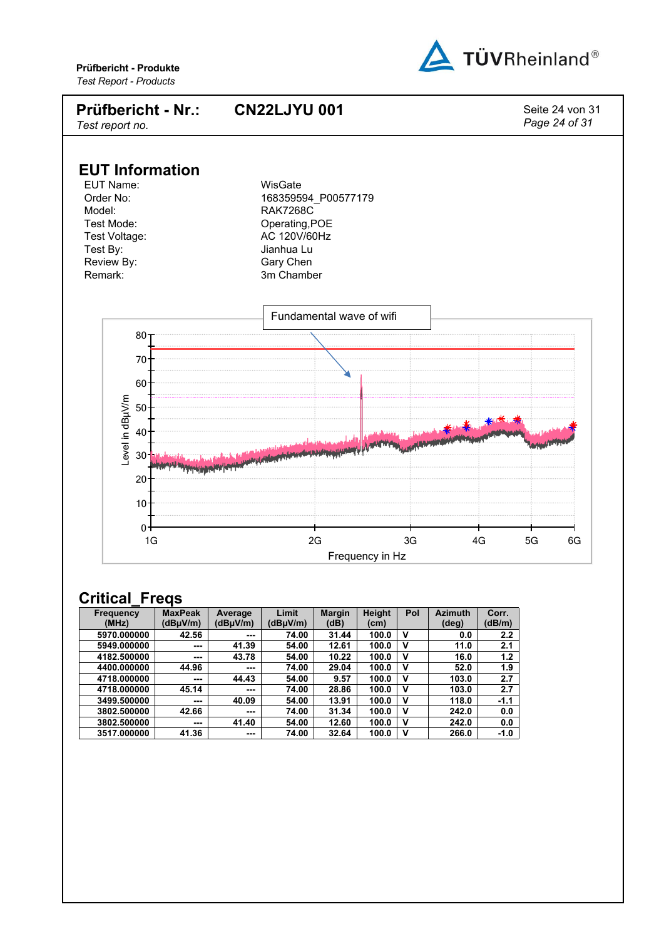



| Frequency   | <b>MaxPeak</b> | Average               | Limit                 | <b>Margin</b> | Height | Pol | <b>Azimuth</b> | Corr.  |
|-------------|----------------|-----------------------|-----------------------|---------------|--------|-----|----------------|--------|
| (MHz)       | (dBµV/m)       | (dB <sub>µ</sub> V/m) | (dB <sub>µ</sub> V/m) | (dB)          | (cm)   |     | $(\text{deg})$ | (dB/m) |
| 5970.000000 | 42.56          | $- - -$               | 74.00                 | 31.44         | 100.0  | v   | 0.0            | 2.2    |
| 5949.000000 | $- - -$        | 41.39                 | 54.00                 | 12.61         | 100.0  | v   | 11.0           | 2.1    |
| 4182.500000 | $- - -$        | 43.78                 | 54.00                 | 10.22         | 100.0  | v   | 16.0           | 1.2    |
| 4400.000000 | 44.96          | $- - -$               | 74.00                 | 29.04         | 100.0  | v   | 52.0           | 1.9    |
| 4718.000000 | $- - -$        | 44.43                 | 54.00                 | 9.57          | 100.0  | v   | 103.0          | 2.7    |
| 4718.000000 | 45.14          | $- - -$               | 74.00                 | 28.86         | 100.0  | v   | 103.0          | 2.7    |
| 3499.500000 | $- - -$        | 40.09                 | 54.00                 | 13.91         | 100.0  | v   | 118.0          | $-1.1$ |
| 3802.500000 | 42.66          | $\sim$                | 74.00                 | 31.34         | 100.0  | v   | 242.0          | 0.0    |
| 3802.500000 | $- - -$        | 41.40                 | 54.00                 | 12.60         | 100.0  | v   | 242.0          | 0.0    |
| 3517.000000 | 41.36          | ---                   | 74.00                 | 32.64         | 100.0  | v   | 266.0          | $-1.0$ |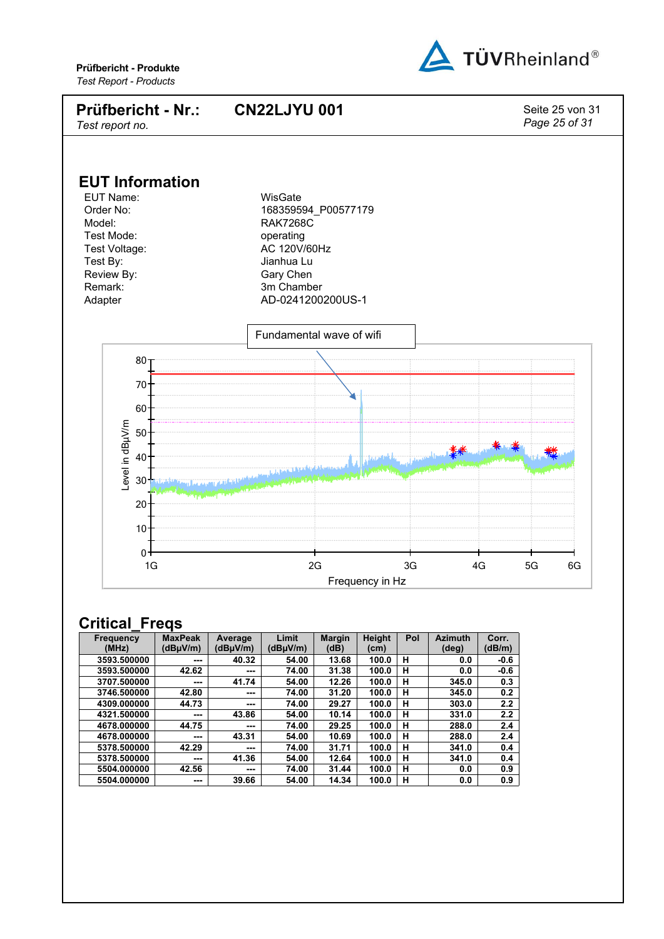![](_page_24_Picture_1.jpeg)

![](_page_24_Figure_2.jpeg)

| <b>Frequency</b> | <b>MaxPeak</b> | Average  | Limit         | <b>Margin</b> | Height | Pol | <b>Azimuth</b> | Corr.  |
|------------------|----------------|----------|---------------|---------------|--------|-----|----------------|--------|
| (MHz)            | (dBµV/m)       | (dBµV/m) | $(dB\mu V/m)$ | (dB)          | (cm)   |     | $(\text{deg})$ | (dB/m) |
| 3593.500000      | ---            | 40.32    | 54.00         | 13.68         | 100.0  | н   | 0.0            | $-0.6$ |
| 3593.500000      | 42.62          | ---      | 74.00         | 31.38         | 100.0  | н   | 0.0            | $-0.6$ |
| 3707.500000      | $- - -$        | 41.74    | 54.00         | 12.26         | 100.0  | н   | 345.0          | 0.3    |
| 3746.500000      | 42.80          | ---      | 74.00         | 31.20         | 100.0  | н   | 345.0          | 0.2    |
| 4309.000000      | 44.73          | ---      | 74.00         | 29.27         | 100.0  | н   | 303.0          | 2.2    |
| 4321.500000      | $- - -$        | 43.86    | 54.00         | 10.14         | 100.0  | н   | 331.0          | 2.2    |
| 4678.000000      | 44.75          | ---      | 74.00         | 29.25         | 100.0  | н   | 288.0          | 2.4    |
| 4678.000000      | $- - -$        | 43.31    | 54.00         | 10.69         | 100.0  | н   | 288.0          | 2.4    |
| 5378.500000      | 42.29          | ---      | 74.00         | 31.71         | 100.0  | н   | 341.0          | 0.4    |
| 5378.500000      | $- - -$        | 41.36    | 54.00         | 12.64         | 100.0  | н   | 341.0          | 0.4    |
| 5504.000000      | 42.56          | ---      | 74.00         | 31.44         | 100.0  | н   | 0.0            | 0.9    |
| 5504.000000      | ---            | 39.66    | 54.00         | 14.34         | 100.0  | н   | 0.0            | 0.9    |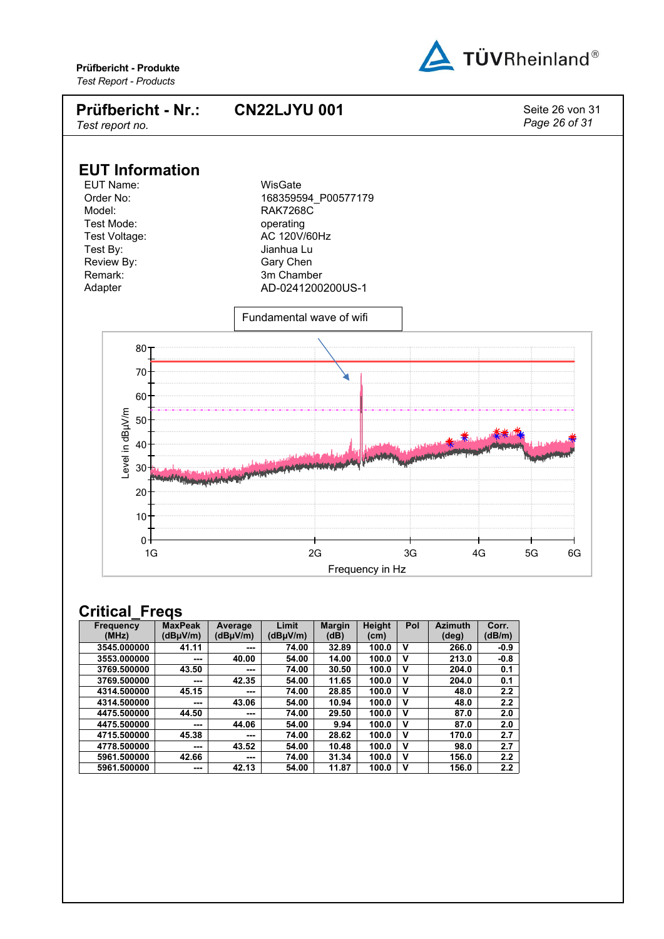![](_page_25_Picture_1.jpeg)

![](_page_25_Figure_2.jpeg)

| <b>Frequency</b> | <b>MaxPeak</b> | Average  | Limit    | <b>Margin</b> | Height | Pol | <b>Azimuth</b> | Corr.  |
|------------------|----------------|----------|----------|---------------|--------|-----|----------------|--------|
| (MHz)            | (dBµV/m)       | (dBµV/m) | (dBµV/m) | (dB)          | (cm)   |     | $(\text{deg})$ | (dB/m) |
| 3545.000000      | 41.11          | ---      | 74.00    | 32.89         | 100.0  | ν   | 266.0          | $-0.9$ |
| 3553.000000      | $- - -$        | 40.00    | 54.00    | 14.00         | 100.0  | ν   | 213.0          | $-0.8$ |
| 3769.500000      | 43.50          | ---      | 74.00    | 30.50         | 100.0  | ν   | 204.0          | 0.1    |
| 3769.500000      | $- - -$        | 42.35    | 54.00    | 11.65         | 100.0  | ν   | 204.0          | 0.1    |
| 4314.500000      | 45.15          | ---      | 74.00    | 28.85         | 100.0  | v   | 48.0           | 2.2    |
| 4314.500000      | ---            | 43.06    | 54.00    | 10.94         | 100.0  | ν   | 48.0           | 2.2    |
| 4475.500000      | 44.50          | ---      | 74.00    | 29.50         | 100.0  | ν   | 87.0           | 2.0    |
| 4475.500000      | $- - -$        | 44.06    | 54.00    | 9.94          | 100.0  | v   | 87.0           | 2.0    |
| 4715.500000      | 45.38          | ---      | 74.00    | 28.62         | 100.0  | ν   | 170.0          | 2.7    |
| 4778.500000      | ---            | 43.52    | 54.00    | 10.48         | 100.0  | ν   | 98.0           | 2.7    |
| 5961.500000      | 42.66          | ---      | 74.00    | 31.34         | 100.0  | ν   | 156.0          | 2.2    |
| 5961.500000      | ---            | 42.13    | 54.00    | 11.87         | 100.0  | ν   | 156.0          | 2.2    |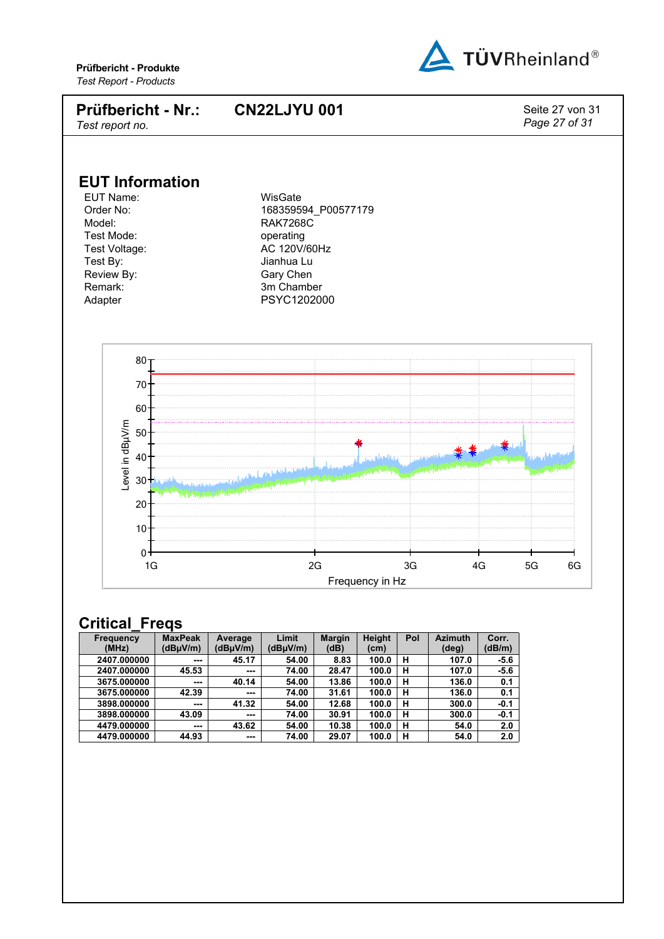![](_page_26_Picture_0.jpeg)

#### **Prüfbericht - Produkte** *Test Report - Products* **Prüfbericht - Nr.:** *Test report no.* **CN22LJYU 001** Seite 27 von 31 *Page 27 of 31* **EUT Information** EUT Name: WisGate Order No: 168359594 P00577179 Model: RAK7268C Test Mode: and the operating Test Voltage: AC 120V/60Hz Test By: Jianhua Lu Review By: Gary Chen Remark: 3m Chamber Adapter PSYC1202000 20 30 40 50 60 70 80 Level in dBµV/m

1G 2G 3G 4G 5G 6G

**Margin (dB)**

Frequency in Hz

**Height (cm)**

**Pol Azimuth (deg)**

**Corr. (dB/m)**

 $0 -$ 

**Critical\_Freqs Frequency (MHz)**

**MaxPeak (dBµV/m)**

**2407.000000 45.53 --- 74.00 28.47 100.0 H 107.0 -5.6**

**3898.000000 43.09 --- 74.00 30.91 100.0 H 300.0 -0.1**

**Average (dBµV/m)**

**Limit (dBµV/m)**

**3675.000000 42.39 --- 74.00 31.61 100.0 H 136.0 0.1**

**2407.000000 --- 45.17 54.00 8.83 100.0 H 107.0 -5.6**

**3675.000000 --- 40.14 54.00 13.86 100.0 H 136.0 0.1**

**3898.000000 --- 41.32 54.00 12.68 100.0 H 300.0 -0.1**

**4479.000000 --- 43.62 54.00 10.38 100.0 H 54.0 2.0 4479.000000 44.93 --- 74.00 29.07 100.0 H 54.0 2.0**

10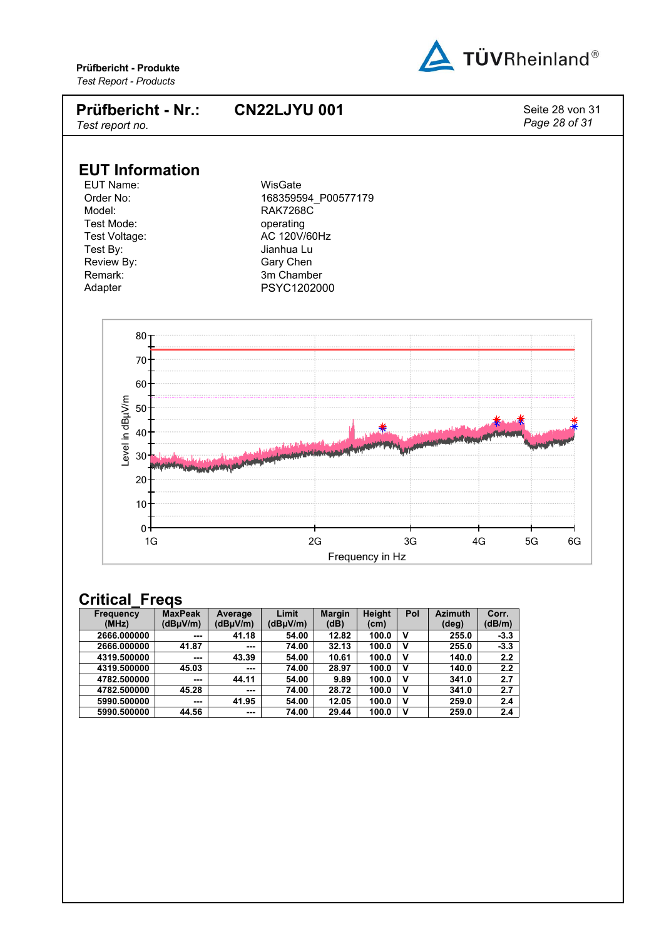![](_page_27_Picture_1.jpeg)

![](_page_27_Figure_2.jpeg)

| <b>Frequency</b> | <b>MaxPeak</b> | Average  | Limit                 | <b>Margin</b> | <b>Height</b> | Pol | <b>Azimuth</b> | Corr.  |
|------------------|----------------|----------|-----------------------|---------------|---------------|-----|----------------|--------|
| (MHz)            | (dBuV/m)       | (dBuV/m) | (dB <sub>µ</sub> V/m) | (dB)          | (cm)          |     | $(\text{deg})$ | (dB/m) |
| 2666.000000      | $- - -$        | 41.18    | 54.00                 | 12.82         | 100.0         | ν   | 255.0          | $-3.3$ |
| 2666.000000      | 41.87          | ---      | 74.00                 | 32.13         | 100.0         | v   | 255.0          | $-3.3$ |
| 4319.500000      | $- - -$        | 43.39    | 54.00                 | 10.61         | 100.0         | v   | 140.0          | 2.2    |
| 4319.500000      | 45.03          | $\sim$   | 74.00                 | 28.97         | 100.0         | v   | 140.0          | 2.2    |
| 4782.500000      | ---            | 44.11    | 54.00                 | 9.89          | 100.0         | v   | 341.0          | 2.7    |
| 4782.500000      | 45.28          | $\sim$   | 74.00                 | 28.72         | 100.0         | v   | 341.0          | 2.7    |
| 5990.500000      | $- - -$        | 41.95    | 54.00                 | 12.05         | 100.0         | v   | 259.0          | 2.4    |
| 5990.500000      | 44.56          | $- - -$  | 74.00                 | 29.44         | 100.0         | v   | 259.0          | 2.4    |